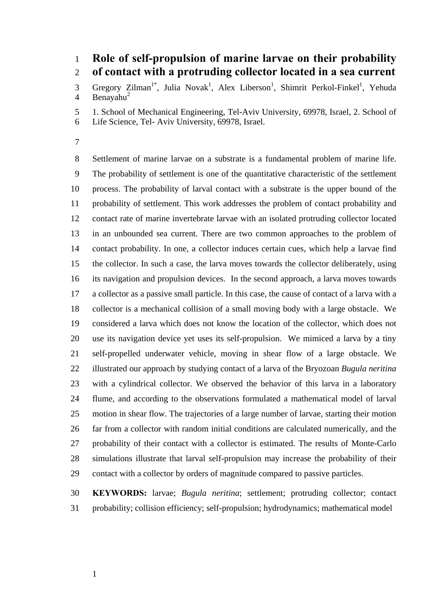## 1 2 **Role of self-propulsion of marine larvae on their probability of contact with a protruding collector located in a sea current**

3 4 Gregory Zilman<sup>1\*</sup>, Julia Novak<sup>1</sup>, Alex Liberson<sup>1</sup>, Shimrit Perkol-Finkel<sup>1</sup>, Yehuda Benayahu $^2$ 

5 1. School of Mechanical Engineering, Tel-Aviv University, 69978, Israel, 2. School of

- 6 Life Science, Tel- Aviv University, 69978, Israel.
- 7

8 9 10 11 12 13 14 15 16 17 18 19 20 21 22 23 24 25 26 27 28 29 Settlement of marine larvae on a substrate is a fundamental problem of marine life. The probability of settlement is one of the quantitative characteristic of the settlement process. The probability of larval contact with a substrate is the upper bound of the probability of settlement. This work addresses the problem of contact probability and contact rate of marine invertebrate larvae with an isolated protruding collector located in an unbounded sea current. There are two common approaches to the problem of contact probability. In one, a collector induces certain cues, which help a larvae find the collector. In such a case, the larva moves towards the collector deliberately, using its navigation and propulsion devices. In the second approach, a larva moves towards a collector as a passive small particle. In this case, the cause of contact of a larva with a collector is a mechanical collision of a small moving body with a large obstacle. We considered a larva which does not know the location of the collector, which does not use its navigation device yet uses its self-propulsion. We mimiced a larva by a tiny self-propelled underwater vehicle, moving in shear flow of a large obstacle. We illustrated our approach by studying contact of a larva of the Bryozoan *Bugula neritina* with a cylindrical collector. We observed the behavior of this larva in a laboratory flume, and according to the observations formulated a mathematical model of larval motion in shear flow. The trajectories of a large number of larvae, starting their motion far from a collector with random initial conditions are calculated numerically, and the probability of their contact with a collector is estimated. The results of Monte-Carlo simulations illustrate that larval self-propulsion may increase the probability of their contact with a collector by orders of magnitude compared to passive particles.

30 31 **KEYWORDS:** larvae; *Bugula neritina*; settlement; protruding collector; contact probability; collision efficiency; self-propulsion; hydrodynamics; mathematical model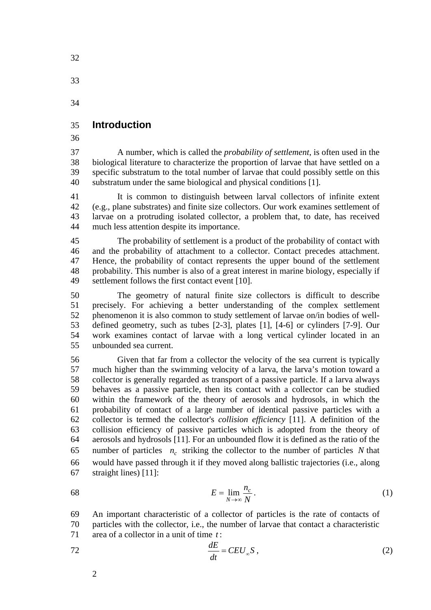33

34

### 35 **Introduction**

36

37 38 39 40 A number, which is called the *probability of settlement*, is often used in the biological literature to characterize the proportion of larvae that have settled on a specific substratum to the total number of larvae that could possibly settle on this substratum under the same biological and physical conditions [1].

41 42 43 44 It is common to distinguish between larval collectors of infinite extent (e.g., plane substrates) and finite size collectors. Our work examines settlement of larvae on a protruding isolated collector, a problem that, to date, has received much less attention despite its importance.

45 46 47 48 49 The probability of settlement is a product of the probability of contact with and the probability of attachment to a collector. Contact precedes attachment. Hence, the probability of contact represents the upper bound of the settlement probability. This number is also of a great interest in marine biology, especially if settlement follows the first contact event [10].

50 51 52 53 54 55 The geometry of natural finite size collectors is difficult to describe precisely. For achieving a better understanding of the complex settlement phenomenon it is also common to study settlement of larvae on/in bodies of welldefined geometry, such as tubes [2-3], plates [1], [4-6] or cylinders [7-9]. Our work examines contact of larvae with a long vertical cylinder located in an unbounded sea current.

56 57 58 59 60 61 62 63 64 65 66 67 Given that far from a collector the velocity of the sea current is typically much higher than the swimming velocity of a larva, the larva's motion toward a collector is generally regarded as transport of a passive particle. If a larva always behaves as a passive particle, then its contact with a collector can be studied within the framework of the theory of aerosols and hydrosols, in which the probability of contact of a large number of identical passive particles with a collector is termed the collector's *collision efficiency* [11]. A definition of the collision efficiency of passive particles which is adopted from the theory of aerosols and hydrosols [11]. For an unbounded flow it is defined as the ratio of the number of particles  $n_c$  striking the collector to the number of particles N that would have passed through it if they moved along ballistic trajectories (i.e., along straight lines) [11]:

<span id="page-1-1"></span>
$$
E = \lim_{N \to \infty} \frac{n_c}{N} \,. \tag{1}
$$

69 70 71 An important characteristic of a collector of particles is the rate of contacts of particles with the collector, i.e., the number of larvae that contact a characteristic area of a collector in a unit of time *t* :

<span id="page-1-0"></span>
$$
\frac{dE}{dt} = CEU_{\infty}S\,,\tag{2}
$$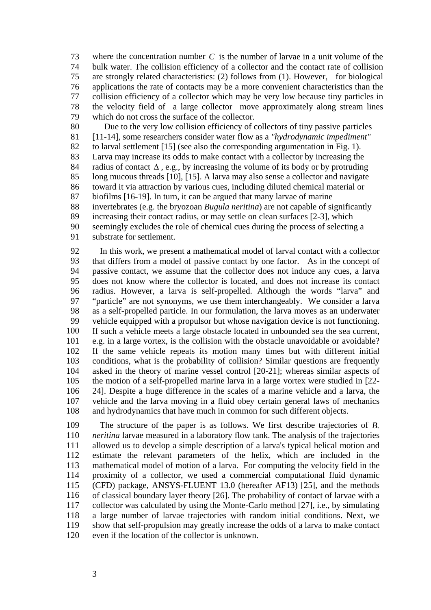73 74 75 76 77 78 79 where the concentration number *C* is the number of larvae in a unit volume of the bulk water. The collision efficiency of a collector and the contact rate of collision are strongly related characteristics: [\(2\)](#page-1-0) follows from [\(1\)](#page-1-1). However, for biological applications the rate of contacts may be a more convenient characteristics than the collision efficiency of a collector which may be very low because tiny particles in the velocity field of a large collector move approximately along stream lines which do not cross the surface of the collector.

80 81 82 83 84 85 86 87 88 89 90 91 Due to the very low collision efficiency of collectors of tiny passive particles [11-14], some researchers consider water flow as a *"hydrodynamic impediment"* to larval settlement [15] (see also the corresponding argumentation in Fig. 1). Larva may increase its odds to make contact with a collector by increasing the radius of contact  $\Delta$ , e.g., by increasing the volume of its body or by protruding long mucous threads [10], [15]. A larva may also sense a collector and navigate toward it via attraction by various cues, including diluted chemical material or biofilms [16-19]. In turn, it can be argued that many larvae of marine invertebrates (e.g. the bryozoan *Bugula neritina*) are not capable of significantly increasing their contact radius, or may settle on clean surfaces [2-3], which seemingly excludes the role of chemical cues during the process of selecting a substrate for settlement.

92 93 94 95 96 97 98 99 100 101 102 103 104 105 106 107 108 In this work, we present a mathematical model of larval contact with a collector that differs from a model of passive contact by one factor. As in the concept of passive contact, we assume that the collector does not induce any cues, a larva does not know where the collector is located, and does not increase its contact radius. However, a larva is self-propelled. Although the words "larva" and "particle" are not synonyms, we use them interchangeably. We consider a larva as a self-propelled particle. In our formulation, the larva moves as an underwater vehicle equipped with a propulsor but whose navigation device is not functioning. If such a vehicle meets a large obstacle located in unbounded sea the sea current, e.g. in a large vortex, is the collision with the obstacle unavoidable or avoidable? If the same vehicle repeats its motion many times but with different initial conditions, what is the probability of collision? Similar questions are frequently asked in the theory of marine vessel control [20-21]; whereas similar aspects of the motion of a self-propelled marine larva in a large vortex were studied in [22- 24]. Despite a huge difference in the scales of a marine vehicle and a larva, the vehicle and the larva moving in a fluid obey certain general laws of mechanics and hydrodynamics that have much in common for such different objects.

109 110 111 112 113 114 115 116 117 118 119 120 The structure of the paper is as follows. We first describe trajectories of *B. neritina* larvae measured in a laboratory flow tank. The analysis of the trajectories allowed us to develop a simple description of a larva's typical helical motion and estimate the relevant parameters of the helix, which are included in the mathematical model of motion of a larva. For computing the velocity field in the proximity of a collector, we used a commercial computational fluid dynamic (CFD) package, ANSYS-FLUENT 13.0 (hereafter AF13) [25], and the methods of classical boundary layer theory [26]. The probability of contact of larvae with a collector was calculated by using the Monte-Carlo method [27], i.e., by simulating a large number of larvae trajectories with random initial conditions. Next, we show that self-propulsion may greatly increase the odds of a larva to make contact even if the location of the collector is unknown.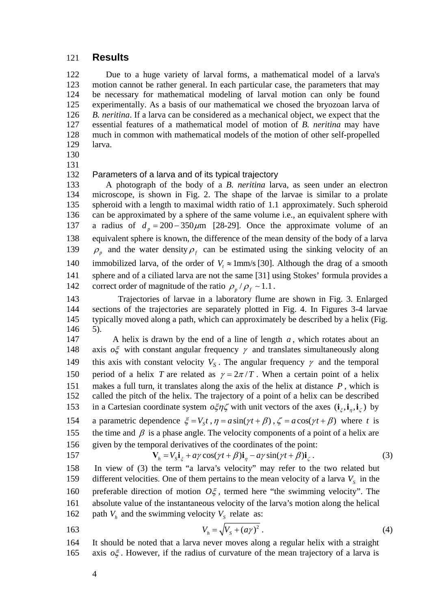### 121 **Results**

122 123 124 125 126 127 128 129 Due to a huge variety of larval forms, a mathematical model of a larva's motion cannot be rather general. In each particular case, the parameters that may be necessary for mathematical modeling of larval motion can only be found experimentally. As a basis of our mathematical we chosed the bryozoan larva of *B. neritina*. If a larva can be considered as a mechanical object, we expect that the essential features of a mathematical model of motion of *B. neritina* may have much in common with mathematical models of the motion of other self-propelled larva.

- 130
- 131

#### 132 Parameters of a larva and of its typical trajectory

133 134 135 136 A photograph of the body of a *B. neritina* larva, as seen under an electron microscope, is shown in Fig. 2. The shape of the larvae is similar to a prolate spheroid with a length to maximal width ratio of 1.1 approximately. Such spheroid can be approximated by a sphere of the same volume i.e., an equivalent sphere with a radius of  $d_p = 200 - 350 \mu m$  [28-29]. Once the approximate volume of an equivalent sphere is known, the difference of the mean density of the body of a larva 137 138  $\rho$ <sub>p</sub> and the water density  $\rho$ <sub>f</sub> can be estimated using the sinking velocity of an immobilized larva, of the order of  $V_t \approx 1$ mm/s [30]. Although the drag of a smooth 139 sphere and of a ciliated larva are not the same [31] using Stokes' formula provides a 142 correct order of magnitude of the ratio  $\rho_p / \rho_f \sim 1.1$ . 140 141

143 144 145 146 Trajectories of larvae in a laboratory flume are shown in Fig. 3. Enlarged sections of the trajectories are separately plotted in Fig. 4. In Figures 3-4 larvae typically moved along a path, which can approximately be described by a helix (Fig. 5).

147 A helix is drawn by the end of a line of length  $a$ , which rotates about an axis  $\sigma \xi$  with constant angular frequency  $\gamma$  and translates simultaneously along this axis with constant velocity  $V_s$ . The angular frequency  $\gamma$  and the temporal 148 period of a helix *T* are related as  $\gamma = 2\pi/T$ . When a certain point of a helix 149 makes a full turn, it translates along the axis of the helix at distance *P* , which is called the pitch of the helix. The trajectory of a point of a helix can be described in a Cartesian coordinate system  $o\xi\eta\zeta$  with unit vectors of the axes  $(i_{\xi}, i_{\eta}, i_{\zeta})$  by 150 151 152 154 a parametric dependence  $\xi = V_s t$ ,  $\eta = a \sin(\gamma t + \beta)$ ,  $\zeta = a \cos(\gamma t + \beta)$  where t is 153 the time and  $\beta$  is a phase angle. The velocity components of a point of a helix are given by the temporal derivatives of the coordinates of the point: 155 156 157 **V**<sub>h</sub> =  $V_s$ **i**<sub> $\xi$ </sub> +  $a\gamma$  cos( $\gamma t$  +  $\beta$ )**i**<sub>n</sub> -  $a\gamma$  sin( $\gamma t$  +  $\beta$ )**i**<sub> $\zeta$ </sub>. . (3)

<span id="page-3-0"></span>158 159 In view of [\(3\)](#page-3-0) the term "a larva's velocity" may refer to the two related but different velocities. One of them pertains to the mean velocity of a larva  $V_s$  in the preferable direction of motion  $O\xi$ , termed here "the swimming velocity". The absolute value of the instantaneous velocity of the larva's motion along the helical 162 path  $V_h$  and the swimming velocity  $V_s$  relate as: 160 161

<span id="page-3-1"></span>163  $V_b = \sqrt{V_s + (a\gamma)^2}$ . (4)

164 It should be noted that a larva never moves along a regular helix with a straight 165 axis  $o\xi$ . However, if the radius of curvature of the mean trajectory of a larva is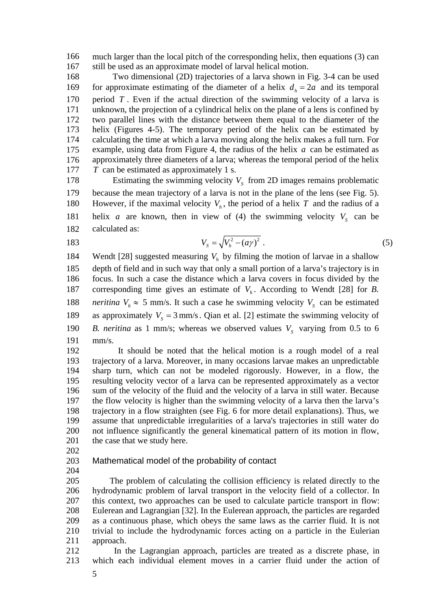166 167 much larger than the local pitch of the corresponding helix, then equations [\(3\)](#page-3-0) can still be used as an approximate model of larval helical motion.

168 for approximate estimating of the diameter of a helix  $d_h = 2a$  and its temporal Two dimensional (2D) trajectories of a larva shown in Fig. 3-4 can be used period  $T$ . Even if the actual direction of the swimming velocity of a larva is unknown, the projection of a cylindrical helix on the plane of a lens is confined by two parallel lines with the distance between them equal to the diameter of the helix (Figures 4-5). The temporary period of the helix can be estimated by calculating the time at which a larva moving along the helix makes a full turn. For example, using data from Figure 4, the radius of the helix *a* can be estimated as approximately three diameters of a larva; whereas the temporal period of the helix *T* can be estimated as approximately 1 s. 169 170 171 172 173 174 175 176 177

178 179 180 181 182 Estimating the swimming velocity  $V_s$  from 2D images remains problematic because the mean trajectory of a larva is not in the plane of the lens (see Fig. 5). However, if the maximal velocity  $V<sub>h</sub>$ , the period of a helix *T* and the radius of a helix *a* are known, then in view of [\(4\)](#page-3-1) the swimming velocity  $V_s$  can be calculated as:

183 
$$
V_s = \sqrt{V_h^2 - (a\gamma)^2} \ . \tag{5}
$$

184 185 186 187 188 189 190 191 Wendt [28] suggested measuring  $V<sub>h</sub>$  by filming the motion of larvae in a shallow depth of field and in such way that only a small portion of a larva's trajectory is in focus. In such a case the distance which a larva covers in focus divided by the corresponding time gives an estimate of  $V<sub>h</sub>$ . According to Wendt [28] for *B*. *neritina*  $V_h \approx 5$  mm/s. It such a case he swimming velocity  $V_s$  can be estimated as approximately  $V_s = 3$  mm/s. Qian et al. [2] estimate the swimming velocity of *B. neritina* as 1 mm/s; whereas we observed values  $V_s$  varying from 0.5 to 6 mm/s.

192 193 194 195 196 197 198 199 200 201 It should be noted that the helical motion is a rough model of a real trajectory of a larva. Moreover, in many occasions larvae makes an unpredictable sharp turn, which can not be modeled rigorously. However, in a flow, the resulting velocity vector of a larva can be represented approximately as a vector sum of the velocity of the fluid and the velocity of a larva in still water. Because the flow velocity is higher than the swimming velocity of a larva then the larva's trajectory in a flow straighten (see Fig. 6 for more detail explanations). Thus, we assume that unpredictable irregularities of a larva's trajectories in still water do not influence significantly the general kinematical pattern of its motion in flow, the case that we study here.

202

203 Mathematical model of the probability of contact

204

205 206 207 208 209 210 211 The problem of calculating the collision efficiency is related directly to the hydrodynamic problem of larval transport in the velocity field of a collector. In this context, two approaches can be used to calculate particle transport in flow: Eulerean and Lagrangian [32]. In the Eulerean approach, the particles are regarded as a continuous phase, which obeys the same laws as the carrier fluid. It is not trivial to include the hydrodynamic forces acting on a particle in the Eulerian approach.

212 213 In the Lagrangian approach, particles are treated as a discrete phase, in which each individual element moves in a carrier fluid under the action of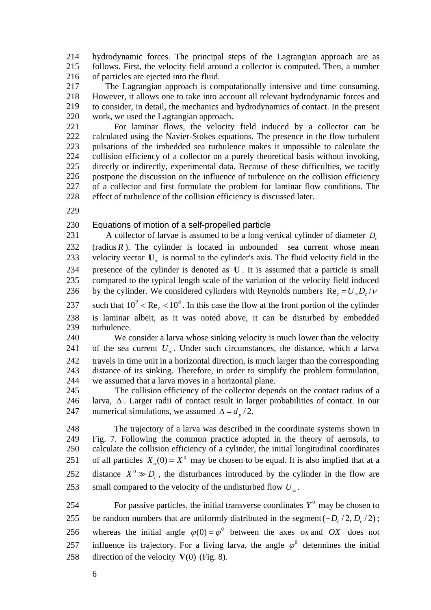214 215 216 hydrodynamic forces. The principal steps of the Lagrangian approach are as follows. First, the velocity field around a collector is computed. Then, a number of particles are ejected into the fluid.

217 218 219 220 The Lagrangian approach is computationally intensive and time consuming. However, it allows one to take into account all relevant hydrodynamic forces and to consider, in detail, the mechanics and hydrodynamics of contact. In the present work, we used the Lagrangian approach.

221 222 223 224 225 226 227 228 For laminar flows, the velocity field induced by a collector can be calculated using the Navier-Stokes equations. The presence in the flow turbulent pulsations of the imbedded sea turbulence makes it impossible to calculate the collision efficiency of a collector on a purely theoretical basis without invoking, directly or indirectly, experimental data. Because of these difficulties, we tacitly postpone the discussion on the influence of turbulence on the collision efficiency of a collector and first formulate the problem for laminar flow conditions. The effect of turbulence of the collision efficiency is discussed later.

229

#### 230 Equations of motion of a self-propelled particle

231 A collector of larvae is assumed to be a long vertical cylinder of diameter *Dc* (radius  $R$ ). The cylinder is located in unbounded sea current whose mean velocity vector  $U_{\infty}$  is normal to the cylinder's axis. The fluid velocity field in the presence of the cylinder is denoted as  $U$ . It is assumed that a particle is small compared to the typical length scale of the variation of the velocity field induced by the cylinder. We considered cylinders with Reynolds numbers  $\text{Re}_c = U_{\infty} D_c / \nu$ 232 233 234 235 236

237 such that  $10^2 < \text{Re}_c < 10^4$ . In this case the flow at the front portion of the cylinder is laminar albeit, as it was noted above, it can be disturbed by embedded turbulence. 238 239

240 241 242 243 244 We consider a larva whose sinking velocity is much lower than the velocity of the sea current  $U_{\infty}$ . Under such circumstances, the distance, which a larva travels in time unit in a horizontal direction, is much larger than the corresponding distance of its sinking. Therefore, in order to simplify the problem formulation, we assumed that a larva moves in a horizontal plane.

245 246 The collision efficiency of the collector depends on the contact radius of a larva,  $\Delta$ . Larger radii of contact result in larger probabilities of contact. In our 247 numerical simulations, we assumed  $\Delta = d_p / 2$ .

248 249 250 The trajectory of a larva was described in the coordinate systems shown in Fig. 7. Following the common practice adopted in the theory of aerosols, to calculate the collision efficiency of a cylinder, the initial longitudinal coordinates of all particles  $X_0(0) = X^0$  may be chosen to be equal. It is also implied that at a distance  $X^0 \gg D_c$ , the disturbances introduced by the cylinder in the flow are 251 253 small compared to the velocity of the undisturbed flow  $U_{\infty}$ . 252

254 255 For passive particles, the initial transverse coordinates  $Y^0$  may be chosen to be random numbers that are uniformly distributed in the segment  $(-D_c/2, D_c/2)$ ; 256 whereas the initial angle  $\varphi(0) = \varphi^0$  between the axes *ox* and *OX* does not influence its trajectory. For a living larva, the angle  $\varphi^0$  determines the initial 258 direction of the velocity  $V(0)$  (Fig. 8). 257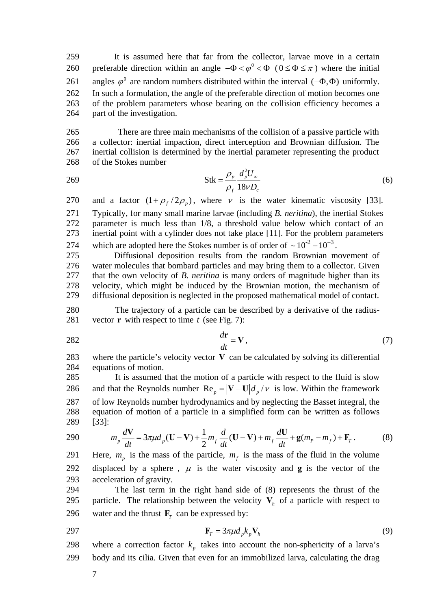259 It is assumed here that far from the collector, larvae move in a certain preferable direction within an angle  $-\Phi < \varphi^0 < \Phi$  ( $0 \le \Phi \le \pi$ ) where the initial 261 angles  $\varphi^0$  are random numbers distributed within the interval  $(-\Phi, \Phi)$  uniformly. 260 In such a formulation, the angle of the preferable direction of motion becomes one of the problem parameters whose bearing on the collision efficiency becomes a part of the investigation. 262 263 264

265 266 267 268 There are three main mechanisms of the collision of a passive particle with a collector: inertial impaction, direct interception and Brownian diffusion. The inertial collision is determined by the inertial parameter representing the product of the Stokes number

2 Stk 18 *p p*  $f^{10V}$  $d_n^2U$ *D*  $\rho$  $\rho_{\scriptscriptstyle{f}}$  18 $\nu$ 269  $S$ tk =  $\frac{\mu_p u_{pQ}^2}{12.5}$  (6)

and a factor  $(1 + \rho_f / 2\rho_p)$ , where v is the water kinematic viscosity [33]. Typically, for many small marine larvae (including *B. neritina*), the inertial Stokes parameter is much less than 1/8, a threshold value below which contact of an inertial point with a cylinder does not take place [11]. For the problem parameters which are adopted here the Stokes number is of order of  $\sim 10^{-2} - 10^{-3}$ . 270 271 272 273 274

275 276 277 278 279 Diffusional deposition results from the random Brownian movement of water molecules that bombard particles and may bring them to a collector. Given that the own velocity of *B. neritina* is many orders of magnitude higher than its velocity, which might be induced by the Brownian motion, the mechanism of diffusional deposition is neglected in the proposed mathematical model of contact.

280 281 The trajectory of a particle can be described by a derivative of the radiusvector **r** with respect to time  $t$  (see Fig. 7):

 $\frac{d\mathbf{r}}{dt}$  = V, 282  $\frac{d\mathbf{r}}{dt} = \mathbf{V}$ , (7)

283 284 where the particle's velocity vector  $V$  can be calculated by solving its differential equations of motion.

285 It is assumed that the motion of a particle with respect to the fluid is slow and that the Reynolds number  $\text{Re}_p = |\mathbf{V} - \mathbf{U}| d_p / \nu$  is low. Within the framework of low Reynolds number hydrodynamics and by neglecting the Basset integral, the equation of motion of a particle in a simplified form can be written as follows [33]: 286 287 288 289

<span id="page-6-0"></span>290 
$$
m_p \frac{dV}{dt} = 3\pi \mu d_p (U - V) + \frac{1}{2} m_f \frac{d}{dt} (U - V) + m_f \frac{dU}{dt} + g(m_p - m_f) + F_T.
$$
 (8)

291 Here, 
$$
m_p
$$
 is the mass of the particle,  $m_f$  is the mass of the fluid in the volume displaced by a sphere,  $\mu$  is the water viscosity and **g** is the vector of the acceleration of gravity.

294 295 296 The last term in the right hand side of [\(8\)](#page-6-0) represents the thrust of the particle. The relationship between the velocity  $V_h$  of a particle with respect to water and the thrust  $\mathbf{F}_T$  can be expressed by:

$$
\mathbf{F}_T = 3\pi\mu d_p k_p \mathbf{V}_h \tag{9}
$$

298 where a correction factor  $k_p$  takes into account the non-sphericity of a larva's

299 body and its cilia. Given that even for an immobilized larva, calculating the drag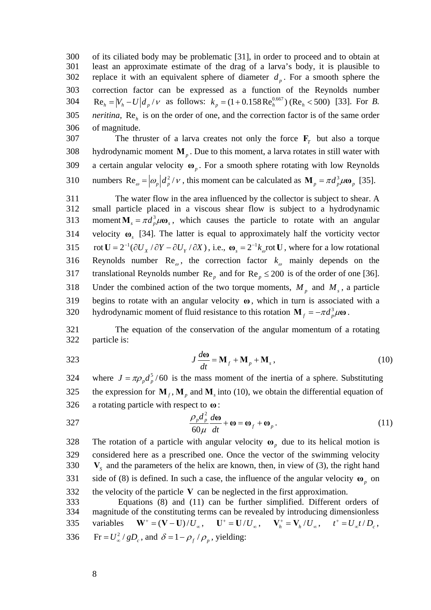300 301 302 303 of its ciliated body may be problematic [31], in order to proceed and to obtain at least an approximate estimate of the drag of a larva's body, it is plausible to replace it with an equivalent sphere of diameter  $d_p$ . For a smooth sphere the correction factor can be expressed as a function of the Reynolds number  $\text{Re}_h = |V_h - U| d_p / \nu$  as follows:  $k_p = (1 + 0.158 \text{Re}_h^{0.667}) (\text{Re}_h < 500)$  [33]. For *B*. *neritina*,  $Re<sub>h</sub>$  is on the order of one, and the correction factor is of the same order of magnitude. 304 305 306

The thruster of a larva creates not only the force  $F<sub>T</sub>$  but also a torque 307 308 309 hydrodynamic moment  $\mathbf{M}_p$ . Due to this moment, a larva rotates in still water with a certain angular velocity  $\boldsymbol{\omega}_p$ . For a smooth sphere rotating with low Reynolds 310 numbers  $\text{Re}_{\omega} = |\omega_p| d_p^2 / \nu$ , this moment can be calculated as  $\text{M}_p = \pi d_p^3 \mu \omega_p$  [35].

311 312 The water flow in the area influenced by the collector is subject to shear. A small particle placed in a viscous shear flow is subject to a hydrodynamic 313 moment  $\mathbf{M}_s = \pi d_n^3 \mu \omega_s$ , which causes the particle to rotate with an angular velocity  $\mathbf{\omega}_s$  [34]. The latter is equal to approximately half the vorticity vector 315 rot  $U = 2^{-1}(\partial U_x / \partial Y - \partial U_y / \partial X)$ , i.e.,  $\omega_s = 2^{-1}k_{\omega}$  rot U, where for a low rotational Reynolds number  $\text{Re}_{\omega}$ , the correction factor  $k_{\omega}$  mainly depends on the 314 317 translational Reynolds number  $\text{Re}_p$  and for  $\text{Re}_p \le 200$  is of the order of one [36]. 316 318 Under the combined action of the two torque moments,  $M_p$  and  $M_s$ , a particle 319 begins to rotate with an angular velocity **ω**, which in turn is associated with a 320 hydrodynamic moment of fluid resistance to this rotation  $\mathbf{M}_f = -\pi d_p^3 \mu \omega$ .

321 322 The equation of the conservation of the angular momentum of a rotating particle is:

<span id="page-7-0"></span>
$$
J\frac{d\omega}{dt} = \mathbf{M}_f + \mathbf{M}_p + \mathbf{M}_s, \qquad (10)
$$

324 where  $J = \pi \rho_p d_p^5 / 60$  is the mass moment of the inertia of a sphere. Substituting the expression for  $M_f$ ,  $M_p$  and  $M_s$  into [\(10\),](#page-7-0) we obtain the differential equation of a rotating particle with respect to  $\omega$ : 325 326

<span id="page-7-1"></span>327 
$$
\frac{\rho_p d_p^2}{60\mu} \frac{d\omega}{dt} + \omega = \omega_f + \omega_p.
$$
 (11)

The rotation of a particle with angular velocity  $\boldsymbol{\omega}_p$  due to its helical motion is 328 329 330 331 332 333 considered here as a prescribed one. Once the vector of the swimming velocity  $V_s$  and the parameters of the helix are known, then, in view of [\(3\),](#page-3-0) the right hand side of [\(8\)](#page-6-0) is defined. In such a case, the influence of the angular velocity  $\boldsymbol{\omega}_p$  on the velocity of the particle  $V$  can be neglected in the first approximation. Equations [\(8\)](#page-6-0) and [\(11\)](#page-7-1) can be further simplified. Different orders of

334 magnitude of the constituting terms can be revealed by introducing dimensionless 335 variables  $\mathbf{W}^+ = (\mathbf{V} - \mathbf{U})/U_\infty$ ,  $\mathbf{U}^+ = \mathbf{U}/U_\infty$ ,  $\mathbf{V}_h^+ = \mathbf{V}_h/U_\infty$ ,  $t^+ = U_\infty t/D_c$ , 336 Fr =  $U^2_{\infty}$  /  $gD_c$ , and  $\delta = 1 - \rho_f / \rho_p$ , yielding: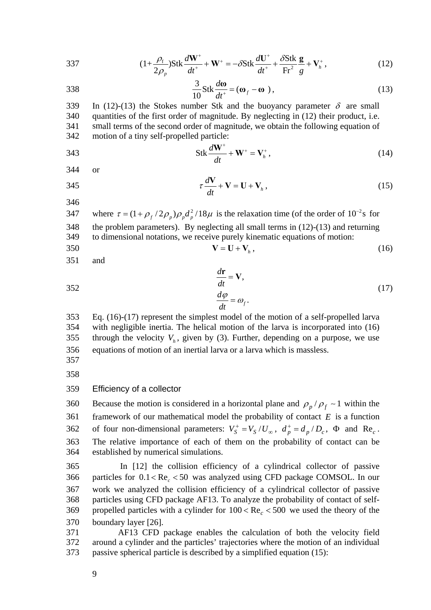<span id="page-8-0"></span>337 
$$
(1+\frac{\rho_f}{2\rho_p})\text{Stk}\frac{d\mathbf{W}^+}{dt^+}+\mathbf{W}^+=-\delta\text{Stk}\frac{d\mathbf{U}^+}{dt^+}+\frac{\delta\text{Stk}}{\text{Fr}^2}\frac{\mathbf{g}}{g}+\mathbf{V}_h^+, \qquad (12)
$$

<span id="page-8-1"></span>338 
$$
\frac{3}{10} \text{Stk} \frac{d\omega}{dt^+} = (\omega_f - \omega), \qquad (13)
$$

In [\(12\)](#page-8-0)[-\(13\)](#page-8-1) the Stokes number Stk and the buoyancy parameter  $\delta$  are small quantities of the first order of magnitude. By neglecting in [\(12\)](#page-8-0) their product, i.e. 339 340 341 342 small terms of the second order of magnitude, we obtain the following equation of motion of a tiny self-propelled particle:

<span id="page-8-5"></span>
$$
343 \qquad \qquad \text{Stk} \, \frac{d\mathbf{W}^+}{dt} + \mathbf{W}^+ = \mathbf{V}_h^+, \tag{14}
$$

344 or

<span id="page-8-4"></span>
$$
\tau \frac{d\mathbf{V}}{dt} + \mathbf{V} = \mathbf{U} + \mathbf{V}_h, \qquad (15)
$$

346

347 where  $\tau = (1 + \rho_f / 2\rho_p) \rho_p d_p^2 / 18\mu$  is the relaxation time (of the order of  $10^{-2}$ s for 348 349 the problem parameters). By neglecting all small terms in [\(12\)-](#page-8-0)[\(13\)](#page-8-1) and returning to dimensional notations, we receive purely kinematic equations of motion: 350  $V = U + V_h,$  (16)

 $\frac{d\mathbf{r}}{d\mathbf{r}} = \mathbf{V},$ 

 $\frac{d\mathbf{r}}{dt}$  = **V** 

*dt*

<span id="page-8-3"></span><span id="page-8-2"></span>351 and

 $\frac{du}{dx}$  (17)

353 354 355

 $\frac{d\varphi}{dt} = \omega_f.$ *dt*  $\frac{\varphi}{\cdot} = \omega$ Eq. [\(16\)-](#page-8-2)[\(17\)](#page-8-3) represent the simplest model of the motion of a self-propelled larva with negligible inertia. The helical motion of the larva is incorporated into [\(16\)](#page-8-2) through the velocity  $V<sub>h</sub>$ , given by [\(3\).](#page-3-0) Further, depending on a purpose, we use equations of motion of an inertial larva or a larva which is massless.

356 357

358

#### 359 Efficiency of a collector

Because the motion is considered in a horizontal plane and  $\rho_p / \rho_f \sim 1$  within the framework of our mathematical model the probability of contact  $E$  is a function 362 of four non-dimensional parameters:  $V_s^+ = V_s/U_\infty$ ,  $d_p^+ = d_p/D_c$ ,  $\Phi$  and  $\text{Re}_c$ . 360 361 The relative importance of each of them on the probability of contact can be established by numerical simulations. 363 364

365 366 367 368 In [12] the collision efficiency of a cylindrical collector of passive particles for  $0.1 < Re<sub>c</sub> < 50$  was analyzed using CFD package COMSOL. In our work we analyzed the collision efficiency of a cylindrical collector of passive particles using CFD package AF13. To analyze the probability of contact of selfpropelled particles with a cylinder for  $100 < Re<sub>c</sub> < 500$  we used the theory of the boundary layer [26]. 369 370

371 372 373 AF13 CFD package enables the calculation of both the velocity field around a cylinder and the particles' trajectories where the motion of an individual passive spherical particle is described by a simplified equation [\(15\):](#page-8-4)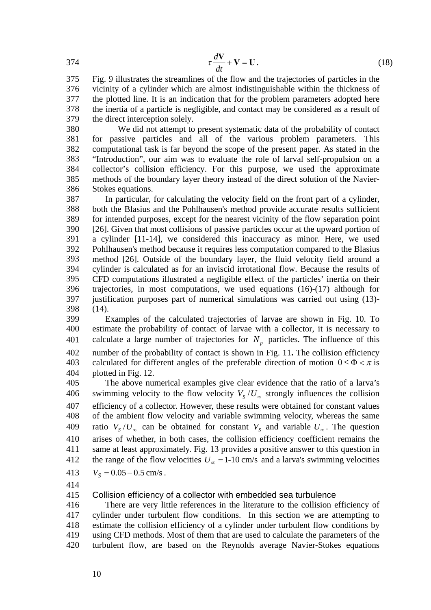$$
\tau \frac{d\mathbf{V}}{dt} + \mathbf{V} = \mathbf{U}.
$$
 (18)

375 376 377 378 379 Fig. 9 illustrates the streamlines of the flow and the trajectories of particles in the vicinity of a cylinder which are almost indistinguishable within the thickness of the plotted line. It is an indication that for the problem parameters adopted here the inertia of a particle is negligible, and contact may be considered as a result of the direct interception solely.

380 381 382 383 384 385 386 We did not attempt to present systematic data of the probability of contact for passive particles and all of the various problem parameters. This computational task is far beyond the scope of the present paper. As stated in the "Introduction", our aim was to evaluate the role of larval self-propulsion on a collector's collision efficiency. For this purpose, we used the approximate methods of the boundary layer theory instead of the direct solution of the Navier-Stokes equations.

387 388 389 390 391 392 393 394 395 396 397 398 In particular, for calculating the velocity field on the front part of a cylinder, both the Blasius and the Pohlhausen's method provide accurate results sufficient for intended purposes, except for the nearest vicinity of the flow separation point [26]. Given that most collisions of passive particles occur at the upward portion of a cylinder [11-14], we considered this inaccuracy as minor. Here, we used Pohlhausen's method because it requires less computation compared to the Blasius method [26]. Outside of the boundary layer, the fluid velocity field around a cylinder is calculated as for an inviscid irrotational flow. Because the results of CFD computations illustrated a negligible effect of the particles' inertia on their trajectories, in most computations, we used equations [\(16\)](#page-8-2)[-\(17\)](#page-8-3) although for justification purposes part of numerical simulations was carried out using [\(13\)-](#page-8-1) [\(14\).](#page-8-5)

399 400 401 402 Examples of the calculated trajectories of larvae are shown in Fig. 10. To estimate the probability of contact of larvae with a collector, it is necessary to calculate a large number of trajectories for  $N_p$  particles. The influence of this number of the probability of contact is shown in Fig. 11**.** The collision efficiency calculated for different angles of the preferable direction of motion  $0 \le \Phi < \pi$  is plotted in Fig. 12. 403 404

405 The above numerical examples give clear evidence that the ratio of a larva's swimming velocity to the flow velocity  $V_s/U_\infty$  strongly influences the collision efficiency of a collector. However, these results were obtained for constant values of the ambient flow velocity and variable swimming velocity, whereas the same 409 ratio  $V_s/U_\infty$  can be obtained for constant  $V_s$  and variable  $U_\infty$ . The question 406 407 408 arises of whether, in both cases, the collision efficiency coefficient remains the same at least approximately. Fig. 13 provides a positive answer to this question in the range of the flow velocities  $U_{\infty} = 1-10$  cm/s and a larva's swimming velocities 410 411 412

 $V_S = 0.05 - 0.5$  cm/s. 413

414

415 Collision efficiency of a collector with embedded sea turbulence

416 417 418 419 420 There are very little references in the literature to the collision efficiency of cylinder under turbulent flow conditions. In this section we are attempting to estimate the collision efficiency of a cylinder under turbulent flow conditions by using CFD methods. Most of them that are used to calculate the parameters of the turbulent flow, are based on the Reynolds average Navier-Stokes equations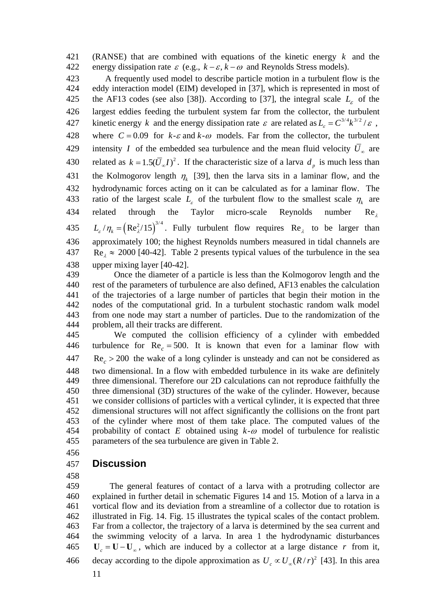421 (RANSE) that are combined with equations of the kinetic energy  $k$  and the 422 energy dissipation rate  $\varepsilon$  (e.g.,  $k - \varepsilon$ ,  $k - \omega$  and Reynolds Stress models).

423 424 A frequently used model to describe particle motion in a turbulent flow is the eddy interaction model (EIM) developed in [37], which is represented in most of the AF13 codes (see also [38]). According to [37], the integral scale  $L<sub>s</sub>$  of the largest eddies feeding the turbulent system far from the collector, the turbulent 427 kinetic energy k and the energy dissipation rate  $\varepsilon$  are related as  $L_{\varepsilon} = C^{3/4} k^{3/2} / \varepsilon$ , 425 426 where  $C = 0.09$  for  $k - \varepsilon$  and  $k - \omega$  models. Far from the collector, the turbulent intensity *I* of the embedded sea turbulence and the mean fluid velocity  $\overline{U}_{\infty}$  are 428 430 related as  $k = 1.5(\bar{U}_{\infty}I)^2$ . If the characteristic size of a larva  $d_p$  is much less than 429 the Kolmogorov length  $\eta_k$  [39], then the larva sits in a laminar flow, and the hydrodynamic forces acting on it can be calculated as for a laminar flow. The ratio of the largest scale  $L_{\varepsilon}$  of the turbulent flow to the smallest scale  $\eta_k$  are 431 432 related through the Taylor micro-scale Reynolds number 433 Re  $L_{\varepsilon}/\eta_{k} = (Re_{\lambda}^{2}/15)^{3/4}$ . Fully turbulent flow requires Re<sub> $\lambda$ </sub> to be larger than 434 approximately 100; the highest Reynolds numbers measured in tidal channels are  $Re<sub>\lambda</sub> \approx 2000$  [40-42]. Table 2 presents typical values of the turbulence in the sea upper mixing layer [40-42]. 435 436 437 438

439 440 441 442 443 444 Once the diameter of a particle is less than the Kolmogorov length and the rest of the parameters of turbulence are also defined, AF13 enables the calculation of the trajectories of a large number of particles that begin their motion in the nodes of the computational grid. In a turbulent stochastic random walk model from one node may start a number of particles. Due to the randomization of the problem, all their tracks are different.

445 446 447 448 449 450 451 452 453 We computed the collision efficiency of a cylinder with embedded turbulence for  $\text{Re}_c = 500$ . It is known that even for a laminar flow with  $Re<sub>c</sub>$  > 200 the wake of a long cylinder is unsteady and can not be considered as two dimensional. In a flow with embedded turbulence in its wake are definitely three dimensional. Therefore our 2D calculations can not reproduce faithfully the three dimensional (3D) structures of the wake of the cylinder. However, because we consider collisions of particles with a vertical cylinder, it is expected that three dimensional structures will not affect significantly the collisions on the front part of the cylinder where most of them take place. The computed values of the probability of contact  $E$  obtained using  $k-\omega$  model of turbulence for realistic parameters of the sea turbulence are given in Table 2. 454 455

456

### 457 **Discussion**

458

459 460 461 462 463 464 The general features of contact of a larva with a protruding collector are explained in further detail in schematic Figures 14 and 15. Motion of a larva in a vortical flow and its deviation from a streamline of a collector due to rotation is illustrated in Fig. 14. Fig. 15 illustrates the typical scales of the contact problem. Far from a collector, the trajectory of a larva is determined by the sea current and the swimming velocity of a larva. In area 1 the hydrodynamic disturbances 465  $\mathbf{U}_c = \mathbf{U} - \mathbf{U}_\infty$ , which are induced by a collector at a large distance r from it, 466 decay according to the dipole approximation as  $U_c \propto U_{\infty} (R/r)^2$  [43]. In this area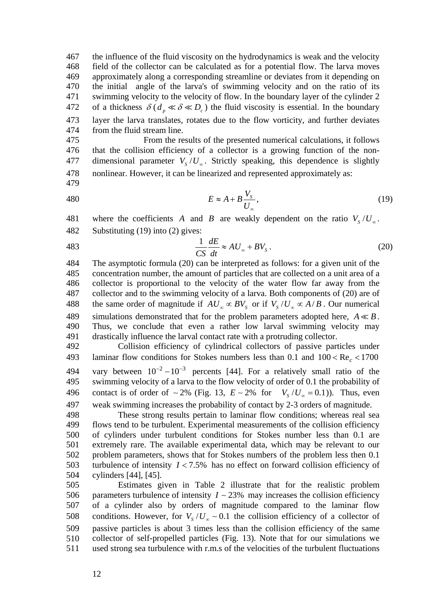467 468 469 470 471 the influence of the fluid viscosity on the hydrodynamics is weak and the velocity field of the collector can be calculated as for a potential flow. The larva moves approximately along a corresponding streamline or deviates from it depending on the initial angle of the larva's of swimming velocity and on the ratio of its swimming velocity to the velocity of flow. In the boundary layer of the cylinder 2 of a thickness  $\delta(d_p \ll \delta \ll D_c)$  the fluid viscosity is essential. In the boundary layer the larva translates, rotates due to the flow vorticity, and further deviates from the fluid stream line. 472 473 474

477 dimensional parameter  $V_s/U_\infty$ . Strictly speaking, this dependence is slightly 475 476 From the results of the presented numerical calculations, it follows that the collision efficiency of a collector is a growing function of the non-478 nonlinear. However, it can be linearized and represented approximately as:

<span id="page-11-0"></span>479

$$
E \approx A + B \frac{V_s}{U_\infty},\tag{19}
$$

where the coefficients *A* and *B* are weakly dependent on the ratio  $V_s/U_\infty$ . 482 Substituting [\(19\)](#page-11-0) into [\(2\)](#page-1-0) gives: 481

<span id="page-11-1"></span>
$$
\frac{1}{CS}\frac{dE}{dt} \approx AU_{\infty} + BV_{S} \,. \tag{20}
$$

484 485 486 487 The asymptotic formula [\(20\)](#page-11-1) can be interpreted as follows: for a given unit of the concentration number, the amount of particles that are collected on a unit area of a collector is proportional to the velocity of the water flow far away from the collector and to the swimming velocity of a larva. Both components of [\(20\)](#page-11-1) are of the same order of magnitude if  $AU_{\infty} \propto BV_{\infty}$  or if  $V_{s}/U_{\infty} \propto A/B$ . Our numerical simulations demonstrated that for the problem parameters adopted here,  $A \ll B$ . 488 Thus, we conclude that even a rather low larval swimming velocity may drastically influence the larval contact rate with a protruding collector. 489 490 491

492 493 494 495 496 497 Collision efficiency of cylindrical collectors of passive particles under laminar flow conditions for Stokes numbers less than  $0.1$  and  $100 < Re<sub>c</sub> < 1700$ vary between  $10^{-2} - 10^{-3}$  percents [44]. For a relatively small ratio of the swimming velocity of a larva to the flow velocity of order of 0.1 the probability of contact is of order of  $\sim 2\%$  (Fig. 13,  $E \sim 2\%$  for  $V_s / U_\infty = 0.1$ )). Thus, even weak swimming increases the probability of contact by 2-3 orders of magnitude.

498 499 500 501 502 503 turbulence of intensity  $I < 7.5\%$  has no effect on forward collision efficiency of These strong results pertain to laminar flow conditions; whereas real sea flows tend to be turbulent. Experimental measurements of the collision efficiency of cylinders under turbulent conditions for Stokes number less than 0.1 are extremely rare. The available experimental data, which may be relevant to our problem parameters, shows that for Stokes numbers of the problem less then 0.1 504 cylinders [44], [45].

505 506 507 508 509 510 511 Estimates given in Table 2 illustrate that for the realistic problem parameters turbulence of intensity  $I \sim 23\%$  may increases the collision efficiency of a cylinder also by orders of magnitude compared to the laminar flow conditions. However, for  $V_s/U_\infty \sim 0.1$  the collision efficiency of a collector of passive particles is about 3 times less than the collision efficiency of the same collector of self-propelled particles (Fig. 13). Note that for our simulations we used strong sea turbulence with r.m.s of the velocities of the turbulent fluctuations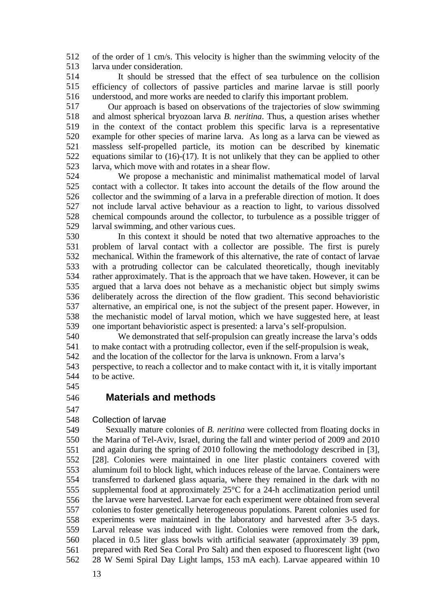512 513 of the order of 1 cm/s. This velocity is higher than the swimming velocity of the larva under consideration.

514 515 516 It should be stressed that the effect of sea turbulence on the collision efficiency of collectors of passive particles and marine larvae is still poorly understood, and more works are needed to clarify this important problem.

517 518 519 520 521 522 523 Our approach is based on observations of the trajectories of slow swimming and almost spherical bryozoan larva *B. neritina*. Thus, a question arises whether in the context of the contact problem this specific larva is a representative example for other species of marine larva. As long as a larva can be viewed as massless self-propelled particle, its motion can be described by kinematic equations similar to [\(16\)](#page-8-2)[-\(17\)](#page-8-3). It is not unlikely that they can be applied to other larva, which move with and rotates in a shear flow.

524 525 526 527 528 529 We propose a mechanistic and minimalist mathematical model of larval contact with a collector. It takes into account the details of the flow around the collector and the swimming of a larva in a preferable direction of motion. It does not include larval active behaviour as a reaction to light, to various dissolved chemical compounds around the collector, to turbulence as a possible trigger of larval swimming, and other various cues.

530 531 532 533 534 535 536 537 538 539 In this context it should be noted that two alternative approaches to the problem of larval contact with a collector are possible. The first is purely mechanical. Within the framework of this alternative, the rate of contact of larvae with a protruding collector can be calculated theoretically, though inevitably rather approximately. That is the approach that we have taken. However, it can be argued that a larva does not behave as a mechanistic object but simply swims deliberately across the direction of the flow gradient. This second behavioristic alternative, an empirical one, is not the subject of the present paper. However, in the mechanistic model of larval motion, which we have suggested here, at least one important behavioristic aspect is presented: a larva's self-propulsion.

540 541 542 543 We demonstrated that self-propulsion can greatly increase the larva's odds to make contact with a protruding collector, even if the self-propulsion is weak, and the location of the collector for the larva is unknown. From a larva's perspective, to reach a collector and to make contact with it, it is vitally important

544 to be active.

545

# **Materials and methods**

546 547

#### 548 Collection of larvae

549 550 551 552 553 554 555 556 557 558 559 560 561 562 Sexually mature colonies of *B. neritina* were collected from floating docks in the Marina of Tel-Aviv, Israel, during the fall and winter period of 2009 and 2010 and again during the spring of 2010 following the methodology described in [3], [28]. Colonies were maintained in one liter plastic containers covered with aluminum foil to block light, which induces release of the larvae. Containers were transferred to darkened glass aquaria, where they remained in the dark with no supplemental food at approximately 25°C for a 24-h acclimatization period until the larvae were harvested. Larvae for each experiment were obtained from several colonies to foster genetically heterogeneous populations. Parent colonies used for experiments were maintained in the laboratory and harvested after 3-5 days. Larval release was induced with light. Colonies were removed from the dark, placed in 0.5 liter glass bowls with artificial seawater (approximately 39 ppm, prepared with Red Sea Coral Pro Salt) and then exposed to fluorescent light (two 28 W Semi Spiral Day Light lamps, 153 mA each). Larvae appeared within 10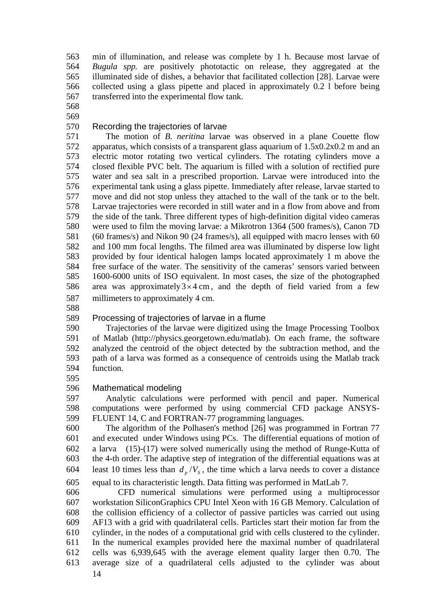563 564 565 566 567 min of illumination, and release was complete by 1 h. Because most larvae of *Bugula spp.* are positively phototactic on release, they aggregated at the illuminated side of dishes, a behavior that facilitated collection [28]. Larvae were collected using a glass pipette and placed in approximately 0.2 l before being transferred into the experimental flow tank.

568

569

#### 570 Recording the trajectories of larvae

571 572 573 574 575 576 577 578 579 580 581 582 583 584 585 The motion of *B. neritina* larvae was observed in a plane Couette flow apparatus, which consists of a transparent glass aquarium of 1.5x0.2x0.2 m and an electric motor rotating two vertical cylinders. The rotating cylinders move a closed flexible PVC belt. The aquarium is filled with a solution of rectified pure water and sea salt in a prescribed proportion. Larvae were introduced into the experimental tank using a glass pipette. Immediately after release, larvae started to move and did not stop unless they attached to the wall of the tank or to the belt. Larvae trajectories were recorded in still water and in a flow from above and from the side of the tank. Three different types of high-definition digital video cameras were used to film the moving larvae: a Mikrotron 1364 (500 frames/s), Canon 7D (60 frames/s) and Nikon 90 (24 frames/s), all equipped with macro lenses with 60 and 100 mm focal lengths. The filmed area was illuminated by disperse low light provided by four identical halogen lamps located approximately 1 m above the free surface of the water. The sensitivity of the cameras' sensors varied between 1600-6000 units of ISO equivalent. In most cases, the size of the photographed area was approximately  $3 \times 4$  cm, and the depth of field varied from a few millimeters to approximately 4 cm. 586 587

588

#### 589 Processing of trajectories of larvae in a flume

590 591 592 593 594 Trajectories of the larvae were digitized using the Image Processing Toolbox of Matlab (http://physics.georgetown.edu/matlab). On each frame, the software analyzed the centroid of the object detected by the subtraction method, and the path of a larva was formed as a consequence of centroids using the Matlab track function.

595

#### 596 Mathematical modeling

597 598 599 Analytic calculations were performed with pencil and paper. Numerical computations were performed by using commercial CFD package ANSYS-FLUENT 14, C and FORTRAN-77 programming languages.

600 601 602 603 604 The algorithm of the Polhasen's method [26] was programmed in Fortran 77 and executed under Windows using PCs. The differential equations of motion of a larva [\(15\)-](#page-8-4)[\(17\)](#page-8-3) were solved numerically using the method of Runge-Kutta of the 4-th order. The adaptive step of integration of the differential equations was at least 10 times less than  $d_p/V_s$ , the time which a larva needs to cover a distance

605 equal to its characteristic length. Data fitting was performed in MatLab 7.

606 607 608 609 610 611 612 613 CFD numerical simulations were performed using a multiprocessor workstation SiliconGraphics CPU Intel Xeon with 16 GB Memory. Calculation of the collision efficiency of a collector of passive particles was carried out using AF13 with a grid with quadrilateral cells. Particles start their motion far from the cylinder, in the nodes of a computational grid with cells clustered to the cylinder. In the numerical examples provided here the maximal number of quadrilateral cells was 6,939,645 with the average element quality larger then 0.70. The average size of a quadrilateral cells adjusted to the cylinder was about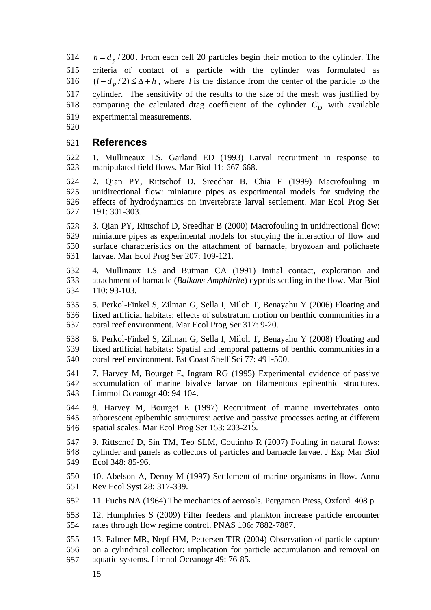614 615 616  $(l - d_p/2) \leq \Delta + h$ , where *l* is the distance from the center of the particle to the 617  $h = d_p / 200$ . From each cell 20 particles begin their motion to the cylinder. The criteria of contact of a particle with the cylinder was formulated as cylinder. The sensitivity of the results to the size of the mesh was justified by comparing the calculated drag coefficient of the cylinder  $C_D$  with available experimental measurements. 618 619

620

#### 621 **References**

622 623 1. Mullineaux LS, Garland ED (1993) Larval recruitment in response to manipulated field flows. Mar Biol 11: 667-668.

624 625 626 627 2. Qian PY, Rittschof D, Sreedhar B, Chia F (1999) Macrofouling in unidirectional flow: miniature pipes as experimental models for studying the effects of hydrodynamics on invertebrate larval settlement. Mar Ecol Prog Ser 191: 301-303.

628 629 630 631 3. Qian PY, Rittschof D, Sreedhar B (2000) Macrofouling in unidirectional flow: miniature pipes as experimental models for studying the interaction of flow and surface characteristics on the attachment of barnacle, bryozoan and polichaete larvae. Mar Ecol Prog Ser 207: 109-121.

632 633 634 4. Mullinaux LS and Butman CA (1991) Initial contact, exploration and attachment of barnacle (*Balkans Amphitrite*) cyprids settling in the flow. Mar Biol 110: 93-103.

635 636 637 5. Perkol-Finkel S, Zilman G, Sella I, Miloh T, Benayahu Y (2006) [Floating and](http://apps.isiknowledge.com/WoS/CIW.cgi?SID=X1FiHF76cn2dC7cL573&Func=Abstract&doc=2/2)  [fixed artificial habitats: effects of substratum motion on benthic communities in a](http://apps.isiknowledge.com/WoS/CIW.cgi?SID=X1FiHF76cn2dC7cL573&Func=Abstract&doc=2/2)  [coral reef environment.](http://apps.isiknowledge.com/WoS/CIW.cgi?SID=X1FiHF76cn2dC7cL573&Func=Abstract&doc=2/2) Mar Ecol Prog Ser 317: 9-20.

638 639 640 6. Perkol-Finkel S, Zilman G, Sella I, Miloh T, Benayahu Y (2008) Floating and fixed artificial habitats: Spatial and temporal patterns of benthic communities in a coral reef environment. Est Coast Shelf Sci 77: 491-500.

641 642 643 7. Harvey M, Bourget E, Ingram RG (1995) Experimental evidence of passive accumulation of marine bivalve larvae on filamentous epibenthic structures. Limmol Oceanogr 40: 94-104.

644 645 646 8. Harvey M, Bourget E (1997) Recruitment of marine invertebrates onto arborescent epibenthic structures: active and passive processes acting at different spatial scales. Mar Ecol Prog Ser 153: 203-215.

647 648 649 9. Rittschof D, Sin TM, Teo SLM, Coutinho R (2007) Fouling in natural flows: cylinder and panels as collectors of particles and barnacle larvae. J Exp Mar Biol Ecol 348: 85-96.

- 650 651 10. Abelson A, Denny M (1997) Settlement of marine organisms in flow. Annu Rev Ecol Syst 28: 317-339.
- 652 11. Fuchs NA (1964) The mechanics of aerosols. Pergamon Press, Oxford. 408 p.

653 654 12. Humphries S (2009) Filter feeders and plankton increase particle encounter rates through flow regime control. PNAS 106: 7882-7887.

655 656 657 13. Palmer MR, Nepf HM, Pettersen TJR (2004) Observation of particle capture on a cylindrical collector: implication for particle accumulation and removal on aquatic systems. Limnol Oceanogr 49: 76-85.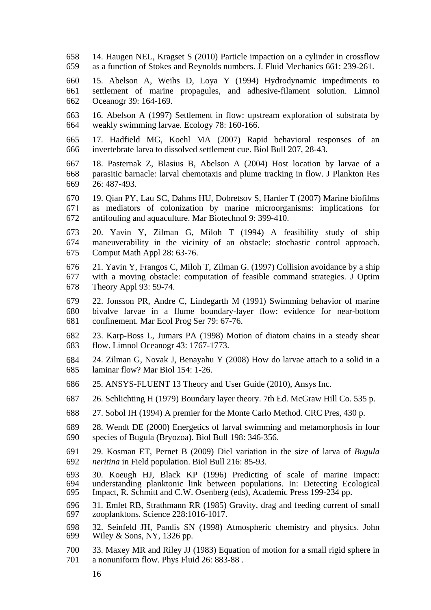658 659 14. Haugen NEL, Kragset S (2010) Particle impaction on a cylinder in crossflow as a function of Stokes and Reynolds numbers. J. Fluid Mechanics 661: 239-261.

660 661 662 15. Abelson A, Weihs D, Loya Y (1994) Hydrodynamic impediments to settlement of marine propagules, and adhesive-filament solution. Limnol Oceanogr 39: 164-169.

663 664 16. Abelson A (1997) Settlement in flow: upstream exploration of substrata by weakly swimming larvae. Ecology 78: 160-166.

665 666 17. Hadfield MG, Koehl MA (2007) Rapid behavioral responses of an invertebrate larva to dissolved settlement cue. Biol Bull 207, 28-43.

667 668 669 18. Pasternak Z, Blasius B, Abelson A (2004) Host location by larvae of a parasitic barnacle: larval chemotaxis and plume tracking in flow. J Plankton Res 26: 487-493.

670 671 672 19. Qian PY, Lau SC, Dahms HU, Dobretsov S, Harder T (2007) Marine biofilms as mediators of colonization by marine microorganisms: implications for antifouling and aquaculture. Mar Biotechnol 9: 399-410.

673 674 675 20. Yavin Y, Zilman G, Miloh T (1994) A feasibility study of ship maneuverability in the vicinity of an obstacle: stochastic control approach. Comput Math Appl 28: 63-76.

676 677 678 21. Yavin Y, Frangos C, Miloh T, Zilman G. (1997) Collision avoidance by a ship with a moving obstacle: computation of feasible command strategies. J Optim Theory Appl 93: 59-74.

679 680 681 22. Jonsson PR, Andre C, Lindegarth M (1991) Swimming behavior of marine bivalve larvae in a flume boundary-layer flow: evidence for near-bottom confinement. Mar Ecol Prog Ser 79: 67-76.

682 683 23. Karp-Boss L, Jumars PA (1998) Motion of diatom chains in a steady shear flow. Limnol Oceanogr 43: 1767-1773.

684 685 24. Zilman G, Novak J, Benayahu Y (2008) How do larvae attach to a solid in a laminar flow? Mar Biol 154: 1-26.

- 686 25. ANSYS-FLUENT 13 Theory and User Guide (2010), Ansys Inc.
- 687 26. Schlichting H (1979) Boundary layer theory. 7th Ed. McGraw Hill Co. 535 p.
- 688 27. Sobol IH (1994) A premier for the Monte Carlo Method. CRC Pres, 430 p.
- 689 690 28. Wendt DE (2000) Energetics of larval swimming and metamorphosis in four species of Bugula (Bryozoa). Biol Bull 198: 346-356.
- 691 692 29. Kosman ET, Pernet B (2009) Diel variation in the size of larva of *Bugula neritina* in Field population. Biol Bull 216: 85-93.
- 693 694 695 30. Koeugh HJ, Black KP (1996) Predicting of scale of marine impact: understanding planktonic link between populations. In: Detecting Ecological Impact, R. Schmitt and C.W. Osenberg (eds), Academic Press 199-234 pp.
- 696 697 31. Emlet RB, Strathmann RR (1985) Gravity, drag and feeding current of small zooplanktons. Science 228:1016-1017.

698 699 32. Seinfeld JH, Pandis SN (1998) Atmospheric chemistry and physics. John Wiley & Sons, NY*,* 1326 pp.

- 700 701 33. Maxey MR and Riley JJ (1983) Equation of motion for a small rigid sphere in a nonuniform flow. Phys Fluid 26: 883-88 .
	- 16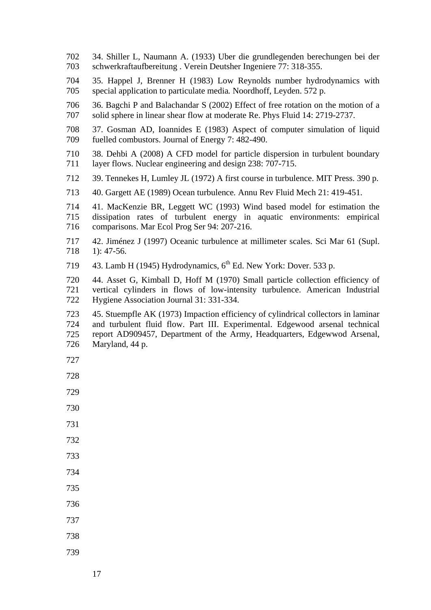- 34. Shiller L, Naumann A. (1933) Uber die grundlegenden berechungen bei der schwerkraftaufbereitung . Verein Deutsher Ingeniere 77: 318-355.
- 35. Happel J, Brenner H (1983) Low Reynolds number hydrodynamics with special application to particulate media*.* Noordhoff, Leyden. 572 p.
- 36. Bagchi P and Balachandar S (2002) Effect of free rotation on the motion of a solid sphere in linear shear flow at moderate Re. Phys Fluid 14: 2719-2737.
- 37. Gosman AD, Ioannides E (1983) Aspect of computer simulation of liquid fuelled combustors. Journal of Energy 7: 482-490.
- 38. Dehbi A (2008) A CFD model for particle dispersion in turbulent boundary layer flows. Nuclear engineering and design 238: 707-715.
- 39. Tennekes H, Lumley JL (1972) A first course in turbulence. MIT Press. 390 p.
- 40. Gargett AE (1989) Ocean turbulence*.* Annu Rev Fluid Mech 21: 419-451.
- 41. MacKenzie BR, Leggett WC (1993) Wind based model for estimation the dissipation rates of turbulent energy in aquatic environments: empirical comparisons. Mar Ecol Prog Ser 94: 207-216.
- 42. Jiménez J (1997) Oceanic turbulence at millimeter scales. Sci Mar 61 (Supl. 1): 47-56.
- 43. Lamb H (1945) Hydrodynamics, 6<sup>th</sup> Ed. New York: Dover. 533 p.
- 44. Asset G, Kimball D, Hoff M (1970) Small particle collection efficiency of vertical cylinders in flows of low-intensity turbulence. American Industrial Hygiene Association Journal 31: 331-334.
- 45. Stuempfle AK (1973) Impaction efficiency of cylindrical collectors in laminar and turbulent fluid flow. Part III. Experimental. Edgewood arsenal technical report AD909457, Department of the Army, Headquarters, Edgewwod Arsenal, Maryland, 44 p.
- 
- 
- 
- 
- 
- 
- 
- 
- 
- 
- 
- 
-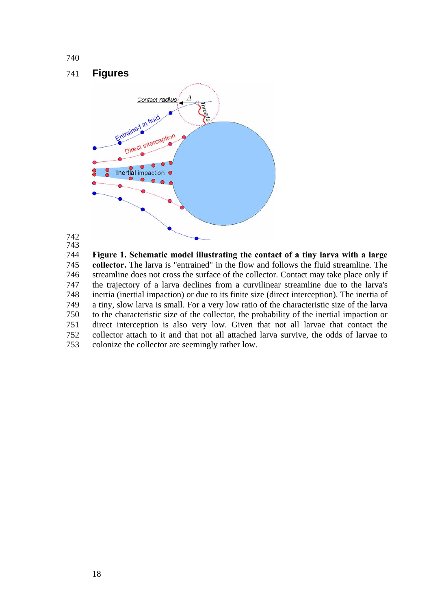# 741 **Figures**



# 742 743

744 745 746 747 748 749 750 751 752 753 **Figure 1. Schematic model illustrating the contact of a tiny larva with a large collector.** The larva is "entrained" in the flow and follows the fluid streamline. The streamline does not cross the surface of the collector. Contact may take place only if the trajectory of a larva declines from a curvilinear streamline due to the larva's inertia (inertial impaction) or due to its finite size (direct interception). The inertia of a tiny, slow larva is small. For a very low ratio of the characteristic size of the larva to the characteristic size of the collector, the probability of the inertial impaction or direct interception is also very low. Given that not all larvae that contact the collector attach to it and that not all attached larva survive, the odds of larvae to colonize the collector are seemingly rather low.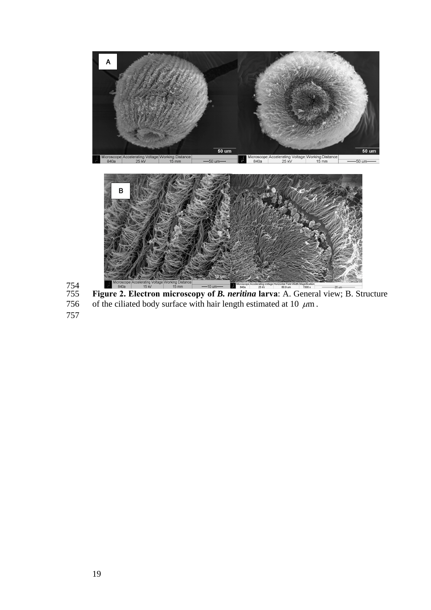

754 The Triangle 15kv 15mm – 10 mm **and 15kv – 15mm – 10 mm – 10 mm – 10 mm – 10 mm – 10 mm – 10 mm – 10 mm – 10 mm – 10 mm – 10 mm – 10 mm – 10 mm – 10 mm – 10 mm – 10 mm – 10 mm – 10 mm – 10 mm – 10 mm – 10 mm – 10 mm – 10** of the ciliated body surface with hair length estimated at 10  $\mu$ m.

757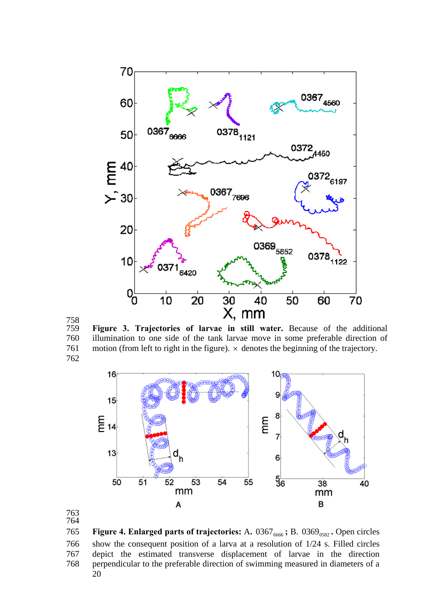

 

 **Figure 3. Trajectories of larvae in still water.** Because of the additional illumination to one side of the tank larvae move in some preferable direction of 761 motion (from left to right in the figure).  $\times$  denotes the beginning of the trajectory. 



 **Figure 4. Enlarged parts of trajectories: A.** 0367<sub>6666</sub>; B. 0369<sub>0582</sub>. Open circles show the consequent position of a larva at a resolution of 1/24 s. Filled circles depict the estimated transverse displacement of larvae in the direction perpendicular to the preferable direction of swimming measured in diameters of a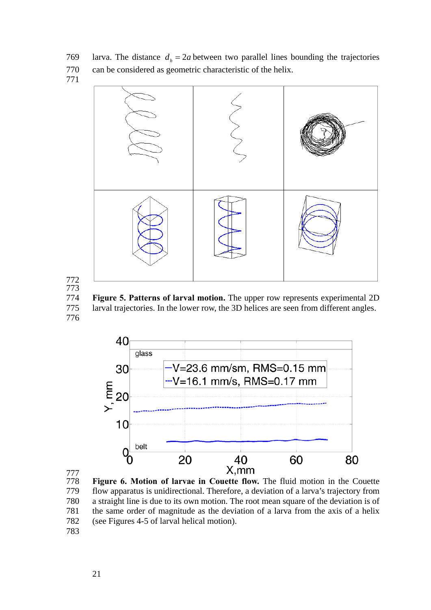769 larva. The distance  $d_h = 2a$  between two parallel lines bounding the trajectories can be considered as geometric characteristic of the helix.





 **Figure 5. Patterns of larval motion.** The upper row represents experimental 2D larval trajectories. In the lower row, the 3D helices are seen from different angles.





 **Figure 6. Motion of larvae in Couette flow.** The fluid motion in the Couette flow apparatus is unidirectional. Therefore, a deviation of a larva's trajectory from a straight line is due to its own motion. The root mean square of the deviation is of the same order of magnitude as the deviation of a larva from the axis of a helix (see Figures 4-5 of larval helical motion).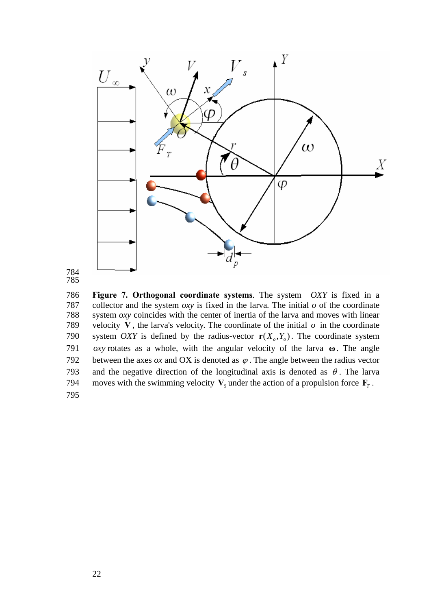



786 787 788 789 **Figure 7. Orthogonal coordinate systems***.* The system *OXY* is fixed in a collector and the system  $\partial xy$  is fixed in the larva. The initial  $\partial$  of the coordinate system *oxy* coincides with the center of inertia of the larva and moves with linear velocity V, the larva's velocity. The coordinate of the initial  $\sigma$  in the coordinate system *OXY* is defined by the radius-vector  $r(X_o, Y_o)$ . The coordinate system 791 *oxy* rotates as a whole, with the angular velocity of the larva  $\omega$ . The angle between the axes  $\alpha x$  and OX is denoted as  $\varphi$ . The angle between the radius vector 790 and the negative direction of the longitudinal axis is denoted as  $\theta$ . The larva 792 moves with the swimming velocity  $V_s$  under the action of a propulsion force  $\mathbf{F}_T$ . 793 794 795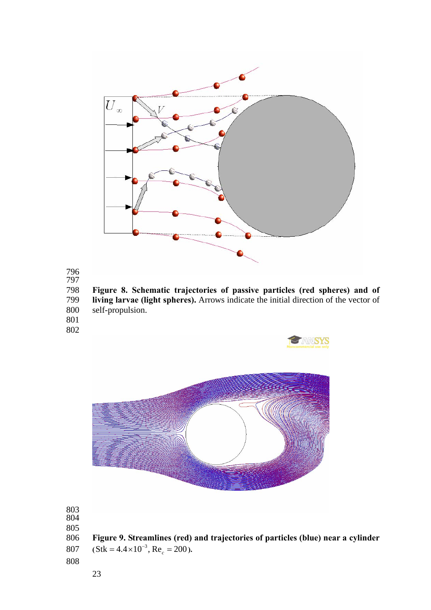



 **Figure 8. Schematic trajectories of passive particles (red spheres) and of living larvae (light spheres).** Arrows indicate the initial direction of the vector of self-propulsion.

**ANSYS** 

- 
- 





 **Figure 9. Streamlines (red) and trajectories of particles (blue) near a cylinder**   $(S$ tk = 4.4 × 10<sup>-3</sup>, Re<sub>c</sub> = 200).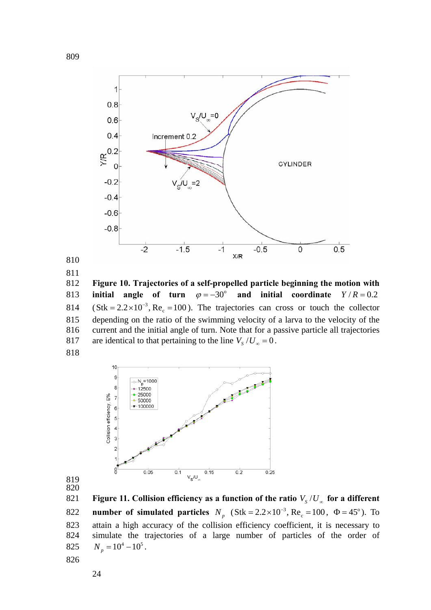

 initial angle of turn  $\varphi = -30^\circ$  and initial coordinate  $Y/R = 0.2$ **Figure 10. Trajectories of a self-propelled particle beginning the motion with**   $(S$ tk = 2.2 × 10<sup>-3</sup>, Re<sub>c</sub> = 100). The trajectories can cross or touch the collector depending on the ratio of the swimming velocity of a larva to the velocity of the current and the initial angle of turn. Note that for a passive particle all trajectories 817 are identical to that pertaining to the line  $V_s / U_\infty = 0$ . 



 Figure 11. Collision efficiency as a function of the ratio  $V_s/U_{\infty}$  for a different **number of simulated particles**  $N_p$  (Stk = 2.2 × 10<sup>-3</sup>, Re<sub>c</sub> = 100,  $\Phi$  = 45°). To attain a high accuracy of the collision efficiency coefficient, it is necessary to simulate the trajectories of a large number of particles of the order of  $N_p = 10^4 - 10^5$ .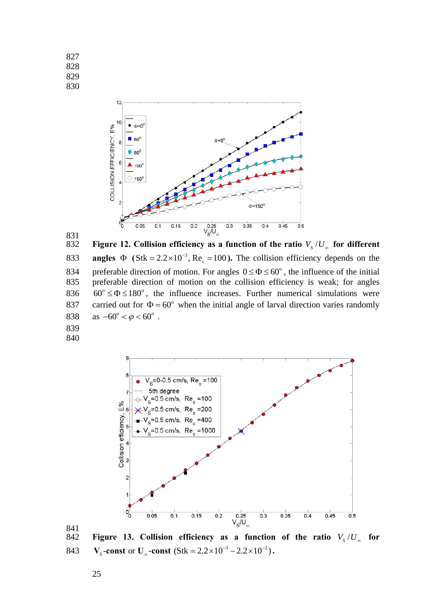

 834 preferable direction of motion. For angles  $0 \le \Phi \le 60^{\circ}$ , the influence of the initial Figure 12. Collision efficiency as a function of the ratio  $V_s/U_\infty$  for different **angles**  $\Phi$  (Stk = 2.2×10<sup>-3</sup>, Re<sub>c</sub> = 100). The collision efficiency depends on the preferable direction of motion on the collision efficiency is weak; for angles  $60^{\circ} \le \Phi \le 180^{\circ}$ , the influence increases. Further numerical simulations were carried out for  $\Phi = 60^\circ$  when the initial angle of larval direction varies randomly as  $-60^{\circ} < \varphi < 60^{\circ}$ .



Figure 13. Collision efficiency as a function of the ratio  $V_s/U_\infty$  for **843**  $V_s$ -const or  $U_\infty$ -const  $(Stk = 2.2 \times 10^{-3} - 2.2 \times 10^{-2})$ .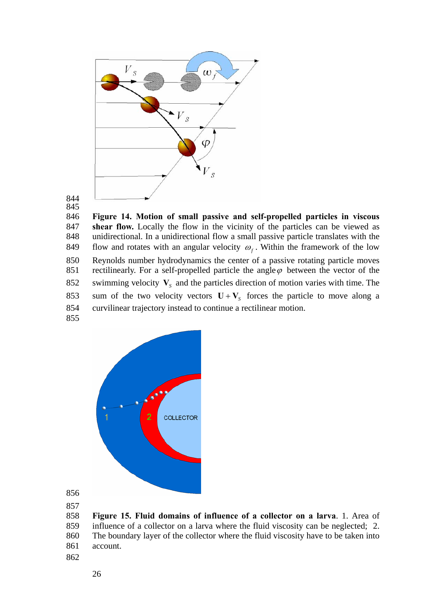

846 847 848 **Figure 14. Motion of small passive and self-propelled particles in viscous shear flow.** Locally the flow in the vicinity of the particles can be viewed as unidirectional. In a unidirectional flow a small passive particle translates with the flow and rotates with an angular velocity  $\omega_f$ . Within the framework of the low Reynolds number hydrodynamics the center of a passive rotating particle moves rectilinearly. For a self-propelled particle the angle  $\varphi$  between the vector of the 849 850 852 swimming velocity  $V_s$  and the particles direction of motion varies with time. The sum of the two velocity vectors  $\mathbf{U} + \mathbf{V}_s$  forces the particle to move along a 851 curvilinear trajectory instead to continue a rectilinear motion. 853 854 855



856

857

858 859 860 861 **Figure 15. Fluid domains of influence of a collector on a larva**. 1. Area of influence of a collector on a larva where the fluid viscosity can be neglected; 2. The boundary layer of the collector where the fluid viscosity have to be taken into account.